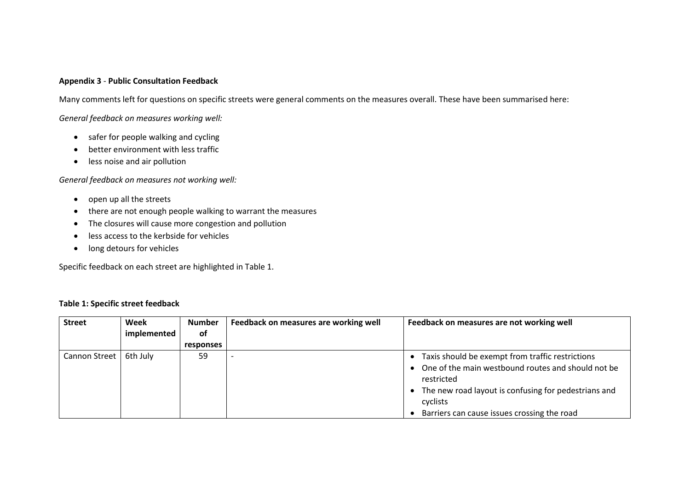## **Appendix 3** - **Public Consultation Feedback**

Many comments left for questions on specific streets were general comments on the measures overall. These have been summarised here:

*General feedback on measures working well:*

- safer for people walking and cycling
- better environment with less traffic
- less noise and air pollution

## *General feedback on measures not working well:*

- open up all the streets
- there are not enough people walking to warrant the measures
- The closures will cause more congestion and pollution
- less access to the kerbside for vehicles
- long detours for vehicles

Specific feedback on each street are highlighted in Table 1.

## **Table 1: Specific street feedback**

| <b>Street</b> | Week        | <b>Number</b> | Feedback on measures are working well | Feedback on measures are not working well                                                                                                                                                    |
|---------------|-------------|---------------|---------------------------------------|----------------------------------------------------------------------------------------------------------------------------------------------------------------------------------------------|
|               | implemented | 0f            |                                       |                                                                                                                                                                                              |
|               |             | responses     |                                       |                                                                                                                                                                                              |
| Cannon Street | 6th July    | 59            |                                       | Taxis should be exempt from traffic restrictions<br>• One of the main westbound routes and should not be<br>restricted<br>• The new road layout is confusing for pedestrians and<br>cyclists |
|               |             |               |                                       | Barriers can cause issues crossing the road                                                                                                                                                  |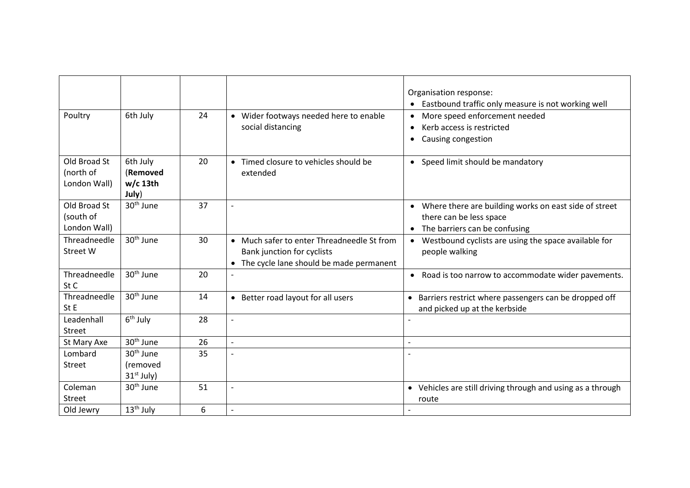|                                           |                                             |    |                                                                                                                       | Organisation response:<br>• Eastbound traffic only measure is not working well                                                   |
|-------------------------------------------|---------------------------------------------|----|-----------------------------------------------------------------------------------------------------------------------|----------------------------------------------------------------------------------------------------------------------------------|
| Poultry                                   | 6th July                                    | 24 | • Wider footways needed here to enable<br>social distancing                                                           | More speed enforcement needed<br>Kerb access is restricted<br>$\bullet$<br>Causing congestion<br>$\bullet$                       |
| Old Broad St<br>(north of<br>London Wall) | 6th July<br>(Removed<br>$w/c$ 13th<br>July) | 20 | • Timed closure to vehicles should be<br>extended                                                                     | • Speed limit should be mandatory                                                                                                |
| Old Broad St<br>(south of<br>London Wall) | 30 <sup>th</sup> June                       | 37 | $\overline{a}$                                                                                                        | • Where there are building works on east side of street<br>there can be less space<br>The barriers can be confusing<br>$\bullet$ |
| Threadneedle<br><b>Street W</b>           | 30 <sup>th</sup> June                       | 30 | • Much safer to enter Threadneedle St from<br>Bank junction for cyclists<br>• The cycle lane should be made permanent | Westbound cyclists are using the space available for<br>$\bullet$<br>people walking                                              |
| Threadneedle<br>St C                      | 30 <sup>th</sup> June                       | 20 |                                                                                                                       | Road is too narrow to accommodate wider pavements.<br>$\bullet$                                                                  |
| Threadneedle<br>St E                      | 30 <sup>th</sup> June                       | 14 | • Better road layout for all users                                                                                    | • Barriers restrict where passengers can be dropped off<br>and picked up at the kerbside                                         |
| Leadenhall<br>Street                      | $6th$ July                                  | 28 | $\overline{\phantom{a}}$                                                                                              |                                                                                                                                  |
| St Mary Axe                               | 30 <sup>th</sup> June                       | 26 | $\overline{a}$                                                                                                        |                                                                                                                                  |
| Lombard                                   | 30 <sup>th</sup> June                       | 35 |                                                                                                                       |                                                                                                                                  |
| Street                                    | (removed<br>$31st$ July)                    |    |                                                                                                                       |                                                                                                                                  |
| Coleman<br>Street                         | 30 <sup>th</sup> June                       | 51 | $\overline{\phantom{a}}$                                                                                              | • Vehicles are still driving through and using as a through<br>route                                                             |
| Old Jewry                                 | 13 <sup>th</sup> July                       | 6  | $\overline{\phantom{a}}$                                                                                              |                                                                                                                                  |